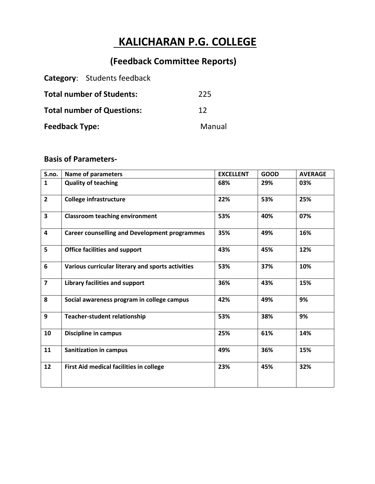# **KALICHARAN P.G. COLLEGE**

## **(Feedback Committee Reports)**

|                                   | <b>Category:</b> Students feedback |        |
|-----------------------------------|------------------------------------|--------|
| <b>Total number of Students:</b>  |                                    | 225    |
| <b>Total number of Questions:</b> | 12                                 |        |
| <b>Feedback Type:</b>             |                                    | Manual |

## **Basis of Parameters-**

| S.no.                   | <b>Name of parameters</b>                            | <b>EXCELLENT</b> | <b>GOOD</b> | <b>AVERAGE</b> |
|-------------------------|------------------------------------------------------|------------------|-------------|----------------|
| $\mathbf{1}$            | <b>Quality of teaching</b>                           | 68%              | 29%         | 03%            |
| $\mathbf{2}$            | <b>College infrastructure</b>                        | 22%              | 53%         | 25%            |
| $\overline{\mathbf{3}}$ | <b>Classroom teaching environment</b>                | 53%              | 40%         | 07%            |
| $\overline{\mathbf{4}}$ | <b>Career counselling and Development programmes</b> | 35%              | 49%         | 16%            |
| 5                       | <b>Office facilities and support</b>                 | 43%              | 45%         | 12%            |
| 6                       | Various curricular literary and sports activities    | 53%              | 37%         | 10%            |
| $\overline{\mathbf{z}}$ | Library facilities and support                       | 36%              | 43%         | 15%            |
| 8                       | Social awareness program in college campus           | 42%              | 49%         | 9%             |
| 9                       | <b>Teacher-student relationship</b>                  | 53%              | 38%         | 9%             |
| 10                      | <b>Discipline in campus</b>                          | 25%              | 61%         | 14%            |
| 11                      | <b>Sanitization in campus</b>                        | 49%              | 36%         | 15%            |
| 12                      | First Aid medical facilities in college              | 23%              | 45%         | 32%            |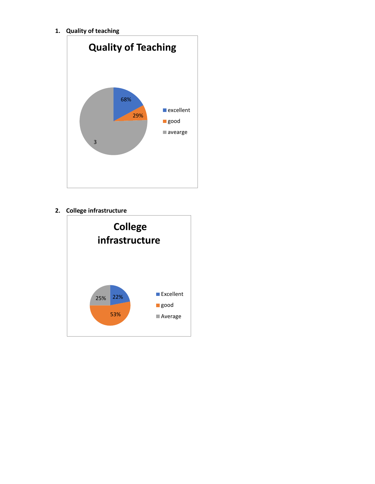**1. Quality of teaching**



### **2. College infrastructure**

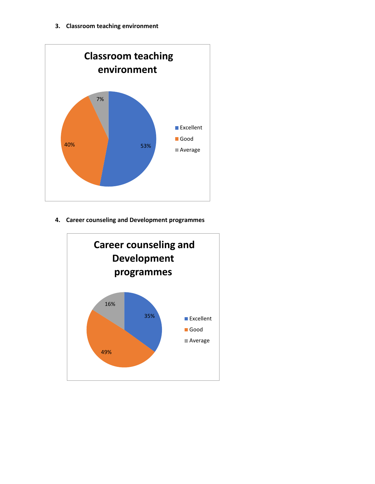

**4. Career counseling and Development programmes**

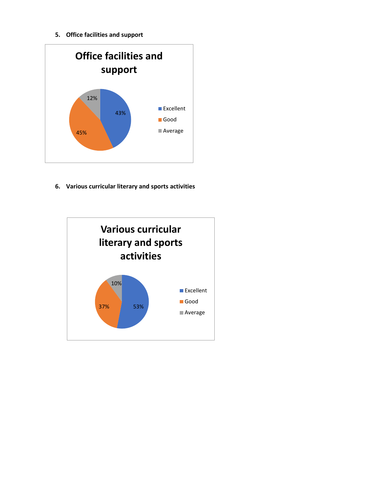**5. Office facilities and support**



**6. Various curricular literary and sports activities**

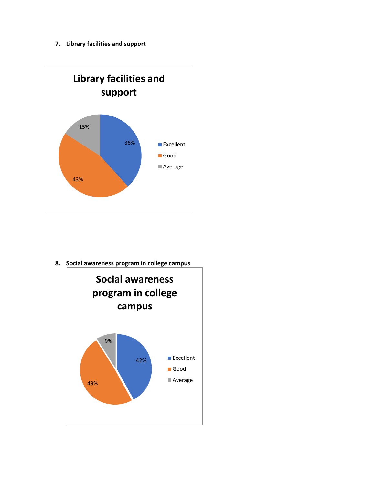#### **7. Library facilities and support**



**8. Social awareness program in college campus**

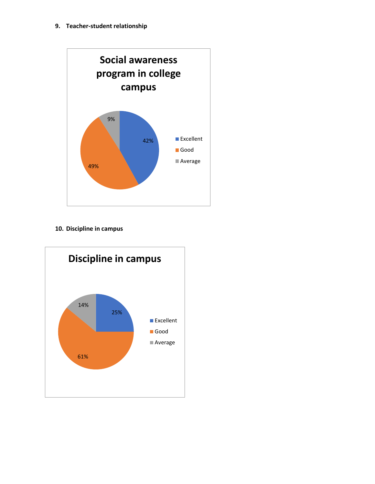

**10. Discipline in campus**

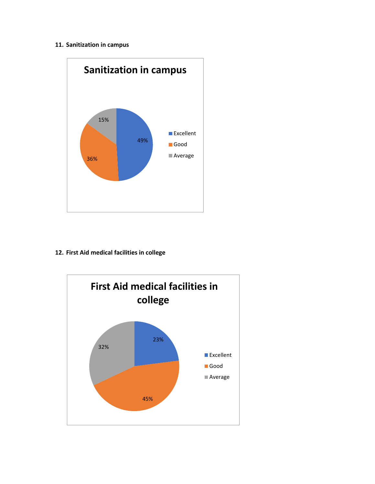#### **11. Sanitization in campus**



#### **12. First Aid medical facilities in college**